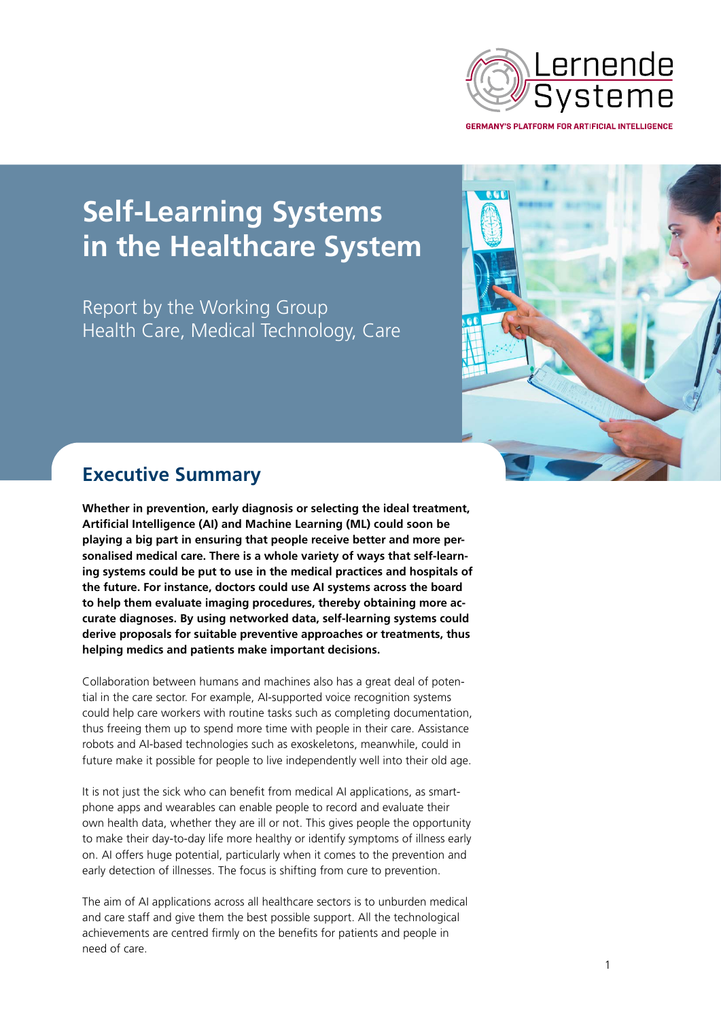

# **Self-Learning Systems in the Healthcare System**

Report by the Working Group Health Care, Medical Technology, Care



## **Executive Summary**

**Whether in prevention, early diagnosis or selecting the ideal treatment, Artificial Intelligence (AI) and Machine Learning (ML) could soon be playing a big part in ensuring that people receive better and more personalised medical care. There is a whole variety of ways that self-learning systems could be put to use in the medical practices and hospitals of the future. For instance, doctors could use AI systems across the board to help them evaluate imaging procedures, thereby obtaining more accurate diagnoses. By using networked data, self-learning systems could derive proposals for suitable preventive approaches or treatments, thus helping medics and patients make important decisions.**

Collaboration between humans and machines also has a great deal of potential in the care sector. For example, AI-supported voice recognition systems could help care workers with routine tasks such as completing documentation, thus freeing them up to spend more time with people in their care. Assistance robots and AI-based technologies such as exoskeletons, meanwhile, could in future make it possible for people to live independently well into their old age.

It is not just the sick who can benefit from medical AI applications, as smartphone apps and wearables can enable people to record and evaluate their own health data, whether they are ill or not. This gives people the opportunity to make their day-to-day life more healthy or identify symptoms of illness early on. AI offers huge potential, particularly when it comes to the prevention and early detection of illnesses. The focus is shifting from cure to prevention.

The aim of AI applications across all healthcare sectors is to unburden medical and care staff and give them the best possible support. All the technological achievements are centred firmly on the benefits for patients and people in need of care.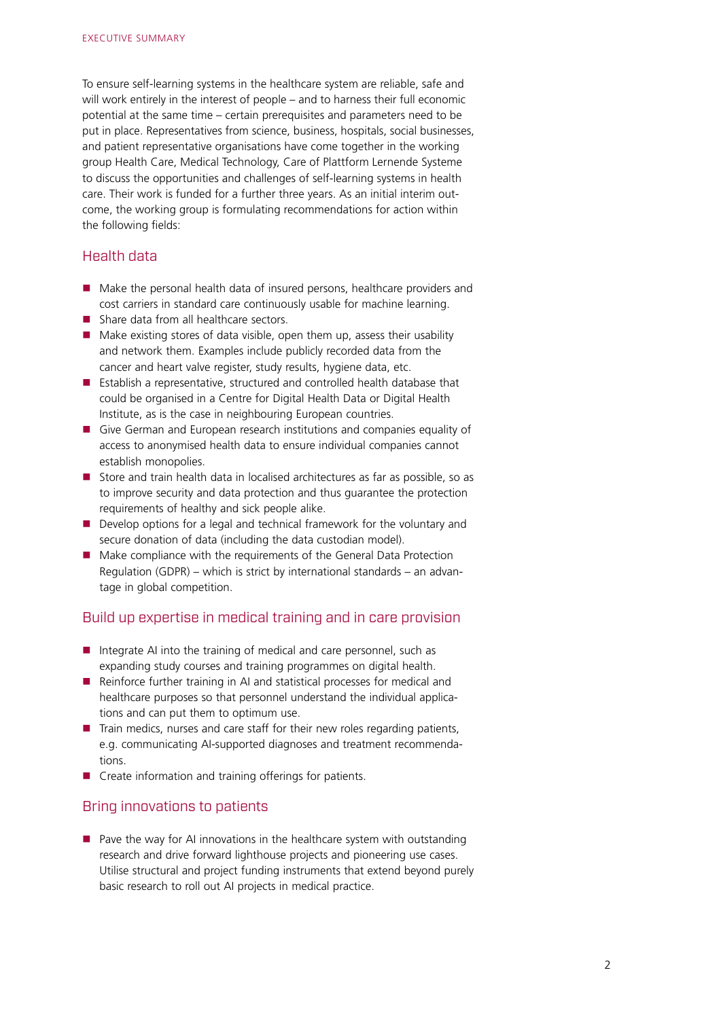To ensure self-learning systems in the healthcare system are reliable, safe and will work entirely in the interest of people – and to harness their full economic potential at the same time – certain prerequisites and parameters need to be put in place. Representatives from science, business, hospitals, social businesses, and patient representative organisations have come together in the working group Health Care, Medical Technology, Care of Plattform Lernende Systeme to discuss the opportunities and challenges of self-learning systems in health care. Their work is funded for a further three years. As an initial interim outcome, the working group is formulating recommendations for action within the following fields:

#### Health data

- Make the personal health data of insured persons, healthcare providers and cost carriers in standard care continuously usable for machine learning.
- Share data from all healthcare sectors.
- $\blacksquare$  Make existing stores of data visible, open them up, assess their usability and network them. Examples include publicly recorded data from the cancer and heart valve register, study results, hygiene data, etc.
- **Establish a representative, structured and controlled health database that** could be organised in a Centre for Digital Health Data or Digital Health Institute, as is the case in neighbouring European countries.
- Give German and European research institutions and companies equality of access to anonymised health data to ensure individual companies cannot establish monopolies.
- Store and train health data in localised architectures as far as possible, so as to improve security and data protection and thus guarantee the protection requirements of healthy and sick people alike.
- Develop options for a legal and technical framework for the voluntary and secure donation of data (including the data custodian model).
- Make compliance with the requirements of the General Data Protection Regulation (GDPR) – which is strict by international standards – an advantage in global competition.

#### Build up expertise in medical training and in care provision

- Integrate AI into the training of medical and care personnel, such as expanding study courses and training programmes on digital health.
- Reinforce further training in AI and statistical processes for medical and healthcare purposes so that personnel understand the individual applications and can put them to optimum use.
- $\blacksquare$  Train medics, nurses and care staff for their new roles regarding patients, e.g. communicating AI-supported diagnoses and treatment recommendations.
- Create information and training offerings for patients.

### Bring innovations to patients

 $\blacksquare$  Pave the way for AI innovations in the healthcare system with outstanding research and drive forward lighthouse projects and pioneering use cases. Utilise structural and project funding instruments that extend beyond purely basic research to roll out AI projects in medical practice.